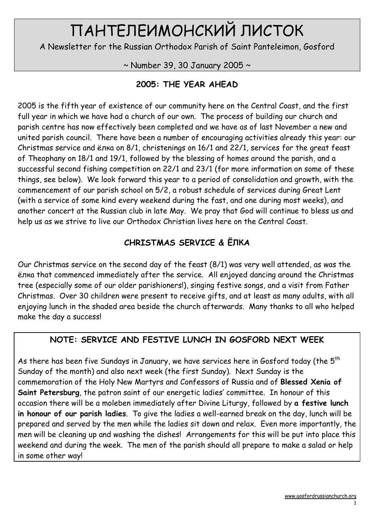# ПАНТЕЛЕИМОНСКИЙ ЛИСТОК

A Newsletter for the Russian Orthodox Parish of Saint Panteleimon, Gosford

 $\sim$  Number 39, 30 January 2005  $\sim$ 

# 2005: THE YEAR AHEAD

2005 is the fifth year of existence of our community here on the Central Coast, and the first full year in which we have had a church of our own. The process of building our church and parish centre has now effectively been completed and we have as of last November a new and united parish council. There have been a number of encouraging activities already this year: our Christmas service and ёлка on 8/1, christenings on 16/1 and 22/1, services for the great feast of Theophany on 18/1 and 19/1, followed by the blessing of homes around the parish, and a successful second fishing competition on 22/1 and 23/1 (for more information on some of these things, see below). We look forward this year to a period of consolidation and growth, with the commencement of our parish school on 5/2, a robust schedule of services during Great Lent (with a service of some kind every weekend during the fast, and one during most weeks), and another concert at the Russian club in late May. We pray that God will continue to bless us and help us as we strive to live our Orthodox Christian lives here on the Central Coast.

# CHRISTMAS SERVICE & ЁЛКА

Our Christmas service on the second day of the feast (8/1) was very well attended, as was the ёлка that commenced immediately after the service. All enjoyed dancing around the Christmas tree (especially some of our older parishioners!), singing festive songs, and a visit from Father Christmas. Over 30 children were present to receive gifts, and at least as many adults, with all enjoying lunch in the shaded area beside the church afterwards. Many thanks to all who helped make the day a success!

# NOTE: SERVICE AND FESTIVE LUNCH IN GOSFORD NEXT WEEK

As there has been five Sundays in January, we have services here in Gosford today (the  $5<sup>th</sup>$ Sunday of the month) and also next week (the first Sunday). Next Sunday is the commemoration of the Holy New Martyrs and Confessors of Russia and of Blessed Xenia of Saint Petersburg, the patron saint of our energetic ladies' committee. In honour of this occasion there will be a moleben immediately after Divine Liturgy, followed by a festive lunch in honour of our parish ladies. To give the ladies a well-earned break on the day, lunch will be prepared and served by the men while the ladies sit down and relax. Even more importantly, the men will be cleaning up and washing the dishes! Arrangements for this will be put into place this weekend and during the week. The men of the parish should all prepare to make a salad or help in some other way!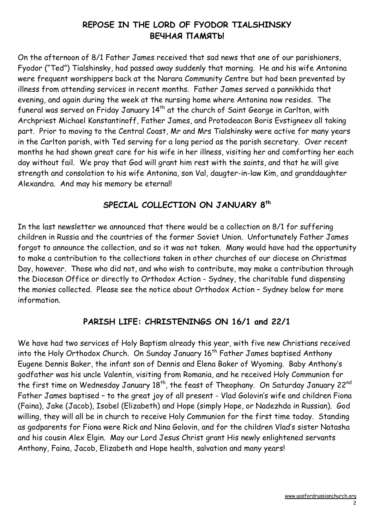# REPOSE IN THE LORD OF FYODOR TIALSHINSKY ВЕЧНАЯ ПАМЯТЬ!

On the afternoon of 8/1 Father James received that sad news that one of our parishioners, Fyodor ("Ted") Tialshinsky, had passed away suddenly that morning. He and his wife Antonina were frequent worshippers back at the Narara Community Centre but had been prevented by illness from attending services in recent months. Father James served a pannikhida that evening, and again during the week at the nursing home where Antonina now resides. The funeral was served on Friday January 14<sup>th</sup> at the church of Saint George in Carlton, with Archpriest Michael Konstantinoff, Father James, and Protodeacon Boris Evstigneev all taking part. Prior to moving to the Central Coast, Mr and Mrs Tialshinsky were active for many years in the Carlton parish, with Ted serving for a long period as the parish secretary. Over recent months he had shown great care for his wife in her illness, visiting her and comforting her each day without fail. We pray that God will grant him rest with the saints, and that he will give strength and consolation to his wife Antonina, son Val, daugter-in-law Kim, and granddaughter Alexandra. And may his memory be eternal!

## SPECIAL COLLECTION ON JANUARY 8<sup>th</sup>

In the last newsletter we announced that there would be a collection on 8/1 for suffering children in Russia and the countries of the former Soviet Union. Unfortunately Father James forgot to announce the collection, and so it was not taken. Many would have had the opportunity to make a contribution to the collections taken in other churches of our diocese on Christmas Day, however. Those who did not, and who wish to contribute, may make a contribution through the Diocesan Office or directly to Orthodox Action - Sydney, the charitable fund dispensing the monies collected. Please see the notice about Orthodox Action – Sydney below for more information.

## PARISH LIFE: CHRISTENINGS ON 16/1 and 22/1

We have had two services of Holy Baptism already this year, with five new Christians received into the Holy Orthodox Church. On Sunday January  $16<sup>th</sup>$  Father James baptised Anthony Eugene Dennis Baker, the infant son of Dennis and Elena Baker of Wyoming. Baby Anthony's godfather was his uncle Valentin, visiting from Romania, and he received Holy Communion for the first time on Wednesday January 18<sup>th</sup>, the feast of Theophany. On Saturday January 22<sup>nd</sup> Father James baptised – to the great joy of all present - Vlad Golovin's wife and children Fiona (Faina), Jake (Jacob), Isobel (Elizabeth) and Hope (simply Hope, or Nadezhda in Russian). God willing, they will all be in church to receive Holy Communion for the first time today. Standing as godparents for Fiona were Rick and Nina Golovin, and for the children Vlad's sister Natasha and his cousin Alex Elgin. May our Lord Jesus Christ grant His newly enlightened servants Anthony, Faina, Jacob, Elizabeth and Hope health, salvation and many years!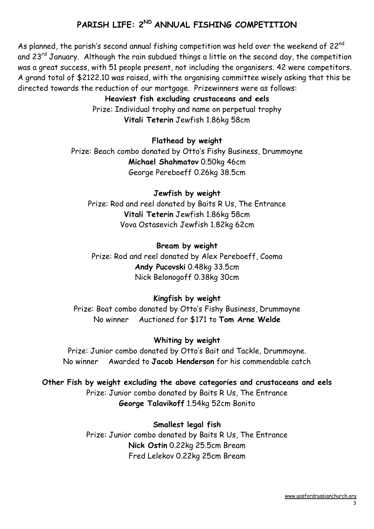# PARISH LIFE: 2<sup>ND</sup> ANNUAL FISHING COMPETITION

As planned, the parish's second annual fishing competition was held over the weekend of 22<sup>nd</sup> and  $23^{rd}$  January. Although the rain subdued things a little on the second day, the competition was a great success, with 51 people present, not including the organisers. 42 were competitors. A grand total of \$2122.10 was raised, with the organising committee wisely asking that this be directed towards the reduction of our mortgage. Prizewinners were as follows:

#### Heaviest fish excluding crustaceans and eels

Prize: Individual trophy and name on perpetual trophy Vitali Teterin Jewfish 1.86kg 58cm

#### Flathead by weight

Prize: Beach combo donated by Otto's Fishy Business, Drummoyne Michael Shahmatov 0.50kg 46cm George Pereboeff 0.26kg 38.5cm

#### Jewfish by weight

Prize: Rod and reel donated by Baits R Us, The Entrance Vitali Teterin Jewfish 1.86kg 58cm Vova Ostasevich Jewfish 1.82kg 62cm

#### Bream by weight

Prize: Rod and reel donated by Alex Pereboeff, Cooma Andy Pucovski 0.48kg 33.5cm Nick Belonogoff 0.38kg 30cm

#### Kingfish by weight

Prize: Boat combo donated by Otto's Fishy Business, Drummoyne No winner Auctioned for \$171 to Tom Arne Welde

#### Whiting by weight

Prize: Junior combo donated by Otto's Bait and Tackle, Drummoyne. No winner Awarded to Jacob Henderson for his commendable catch

#### Other Fish by weight excluding the above categories and crustaceans and eels Prize: Junior combo donated by Baits R Us, The Entrance George Talavikoff 1.54kg 52cm Bonito

Smallest legal fish Prize: Junior combo donated by Baits R Us, The Entrance Nick Ostin 0.22kg 25.5cm Bream Fred Lelekov 0.22kg 25cm Bream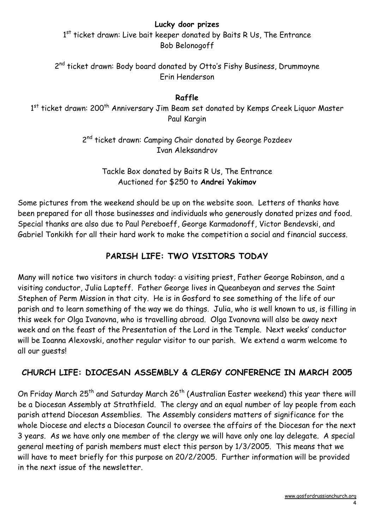#### Lucky door prizes

 $1<sup>st</sup>$  ticket drawn: Live bait keeper donated by Baits R Us, The Entrance Bob Belonogoff

2<sup>nd</sup> ticket drawn: Body board donated by Otto's Fishy Business, Drummoyne Erin Henderson

#### Raffle

1<sup>st</sup> ticket drawn: 200<sup>th</sup> Anniversary Jim Beam set donated by Kemps Creek Liquor Master Paul Kargin

> 2<sup>nd</sup> ticket drawn: Camping Chair donated by George Pozdeev Ivan Aleksandrov

Tackle Box donated by Baits R Us, The Entrance Auctioned for \$250 to Andrei Yakimov

Some pictures from the weekend should be up on the website soon. Letters of thanks have been prepared for all those businesses and individuals who generously donated prizes and food. Special thanks are also due to Paul Pereboeff, George Karmadonoff, Victor Bendevski, and Gabriel Tonkikh for all their hard work to make the competition a social and financial success.

# PARISH LIFE: TWO VISITORS TODAY

Many will notice two visitors in church today: a visiting priest, Father George Robinson, and a visiting conductor, Julia Lapteff. Father George lives in Queanbeyan and serves the Saint Stephen of Perm Mission in that city. He is in Gosford to see something of the life of our parish and to learn something of the way we do things. Julia, who is well known to us, is filling in this week for Olga Ivanovna, who is travelling abroad. Olga Ivanovna will also be away next week and on the feast of the Presentation of the Lord in the Temple. Next weeks' conductor will be Ioanna Alexovski, another regular visitor to our parish. We extend a warm welcome to all our guests!

# CHURCH LIFE: DIOCESAN ASSEMBLY & CLERGY CONFERENCE IN MARCH 2005

On Friday March 25<sup>th</sup> and Saturday March 26<sup>th</sup> (Australian Easter weekend) this year there will be a Diocesan Assembly at Strathfield. The clergy and an equal number of lay people from each parish attend Diocesan Assemblies. The Assembly considers matters of significance for the whole Diocese and elects a Diocesan Council to oversee the affairs of the Diocesan for the next 3 years. As we have only one member of the clergy we will have only one lay delegate. A special general meeting of parish members must elect this person by 1/3/2005. This means that we will have to meet briefly for this purpose on 20/2/2005. Further information will be provided in the next issue of the newsletter.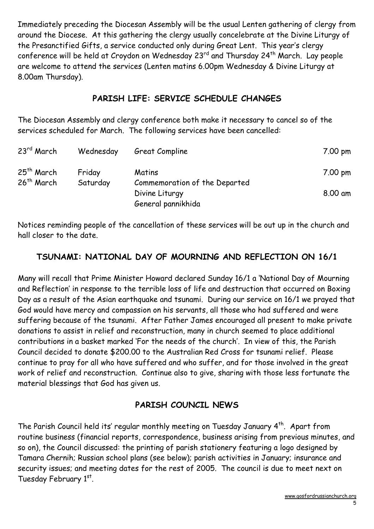Immediately preceding the Diocesan Assembly will be the usual Lenten gathering of clergy from around the Diocese. At this gathering the clergy usually concelebrate at the Divine Liturgy of the Presanctified Gifts, a service conducted only during Great Lent. This year's clergy conference will be held at Croydon on Wednesday 23<sup>rd</sup> and Thursday 24<sup>th</sup> March. Lay people are welcome to attend the services (Lenten matins 6.00pm Wednesday & Divine Liturgy at 8.00am Thursday).

## PARISH LIFE: SERVICE SCHEDULE CHANGES

The Diocesan Assembly and clergy conference both make it necessary to cancel so of the services scheduled for March. The following services have been cancelled:

| $23rd$ March                           | Wednesday | Great Compline                                  | 7.00 pm |
|----------------------------------------|-----------|-------------------------------------------------|---------|
| $25th$ March<br>26 <sup>th</sup> March | Friday    | <b>Matins</b>                                   | 7.00 pm |
|                                        | Saturday  | Commemoration of the Departed<br>Divine Liturgy | 8.00 am |
|                                        |           | General pannikhida                              |         |

Notices reminding people of the cancellation of these services will be out up in the church and hall closer to the date.

## TSUNAMI: NATIONAL DAY OF MOURNING AND REFLECTION ON 16/1

Many will recall that Prime Minister Howard declared Sunday 16/1 a 'National Day of Mourning and Reflection' in response to the terrible loss of life and destruction that occurred on Boxing Day as a result of the Asian earthquake and tsunami. During our service on 16/1 we prayed that God would have mercy and compassion on his servants, all those who had suffered and were suffering because of the tsunami. After Father James encouraged all present to make private donations to assist in relief and reconstruction, many in church seemed to place additional contributions in a basket marked 'For the needs of the church'. In view of this, the Parish Council decided to donate \$200.00 to the Australian Red Cross for tsunami relief. Please continue to pray for all who have suffered and who suffer, and for those involved in the great work of relief and reconstruction. Continue also to give, sharing with those less fortunate the material blessings that God has given us.

## PARISH COUNCIL NEWS

The Parish Council held its' regular monthly meeting on Tuesday January 4<sup>th</sup>. Apart from routine business (financial reports, correspondence, business arising from previous minutes, and so on), the Council discussed: the printing of parish stationery featuring a logo designed by Tamara Chernih; Russian school plans (see below); parish activities in January; insurance and security issues; and meeting dates for the rest of 2005. The council is due to meet next on Tuesday February 1st.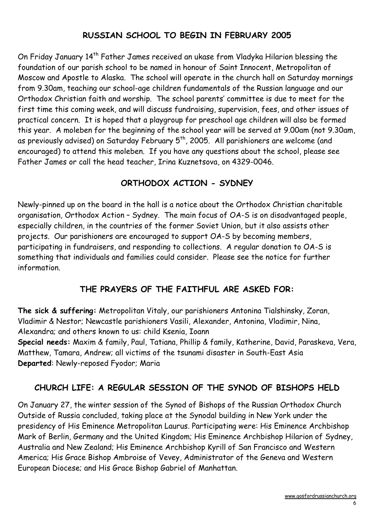# RUSSIAN SCHOOL TO BEGIN IN FEBRUARY 2005

On Friday January 14<sup>th</sup> Father James received an ukase from Vladyka Hilarion blessing the foundation of our parish school to be named in honour of Saint Innocent, Metropolitan of Moscow and Apostle to Alaska. The school will operate in the church hall on Saturday mornings from 9.30am, teaching our school-age children fundamentals of the Russian language and our Orthodox Christian faith and worship. The school parents' committee is due to meet for the first time this coming week, and will discuss fundraising, supervision, fees, and other issues of practical concern. It is hoped that a playgroup for preschool age children will also be formed this year. A moleben for the beginning of the school year will be served at 9.00am (not 9.30am, as previously advised) on Saturday February  $5<sup>th</sup>$ , 2005. All parishioners are welcome (and encouraged) to attend this moleben. If you have any questions about the school, please see Father James or call the head teacher, Irina Kuznetsova, on 4329-0046.

## ORTHODOX ACTION - SYDNEY

Newly-pinned up on the board in the hall is a notice about the Orthodox Christian charitable organisation, Orthodox Action – Sydney. The main focus of OA-S is on disadvantaged people, especially children, in the countries of the former Soviet Union, but it also assists other projects. Our parishioners are encouraged to support OA-S by becoming members, participating in fundraisers, and responding to collections. A regular donation to OA-S is something that individuals and families could consider. Please see the notice for further information.

# THE PRAYERS OF THE FAITHFUL ARE ASKED FOR:

The sick & suffering: Metropolitan Vitaly, our parishioners Antonina Tialshinsky, Zoran, Vladimir & Nestor; Newcastle parishioners Vasili, Alexander, Antonina, Vladimir, Nina, Alexandra; and others known to us: child Ksenia, Ioann Special needs: Maxim & family, Paul, Tatiana, Phillip & family, Katherine, David, Paraskeva, Vera, Matthew, Tamara, Andrew; all victims of the tsunami disaster in South-East Asia Departed: Newly-reposed Fyodor; Maria

# CHURCH LIFE: A REGULAR SESSION OF THE SYNOD OF BISHOPS HELD

On January 27, the winter session of the Synod of Bishops of the Russian Orthodox Church Outside of Russia concluded, taking place at the Synodal building in New York under the presidency of His Eminence Metropolitan Laurus. Participating were: His Eminence Archbishop Mark of Berlin, Germany and the United Kingdom; His Eminence Archbishop Hilarion of Sydney, Australia and New Zealand; His Eminence Archbishop Kyrill of San Francisco and Western America; His Grace Bishop Ambroise of Vevey, Administrator of the Geneva and Western European Diocese; and His Grace Bishop Gabriel of Manhattan.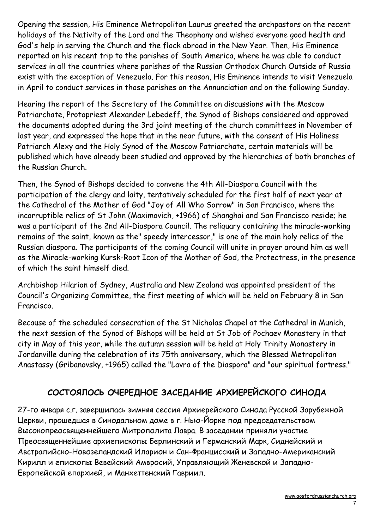Opening the session, His Eminence Metropolitan Laurus greeted the archpastors on the recent holidays of the Nativity of the Lord and the Theophany and wished everyone good health and God's help in serving the Church and the flock abroad in the New Year. Then, His Eminence reported on his recent trip to the parishes of South America, where he was able to conduct services in all the countries where parishes of the Russian Orthodox Church Outside of Russia exist with the exception of Venezuela. For this reason, His Eminence intends to visit Venezuela in April to conduct services in those parishes on the Annunciation and on the following Sunday.

Hearing the report of the Secretary of the Committee on discussions with the Moscow Patriarchate, Protopriest Alexander Lebedeff, the Synod of Bishops considered and approved the documents adopted during the 3rd joint meeting of the church committees in November of last year, and expressed the hope that in the near future, with the consent of His Holiness Patriarch Alexy and the Holy Synod of the Moscow Patriarchate, certain materials will be published which have already been studied and approved by the hierarchies of both branches of the Russian Church.

Then, the Synod of Bishops decided to convene the 4th All-Diaspora Council with the participation of the clergy and laity, tentatively scheduled for the first half of next year at the Cathedral of the Mother of God "Joy of All Who Sorrow" in San Francisco, where the incorruptible relics of St John (Maximovich, +1966) of Shanghai and San Francisco reside; he was a participant of the 2nd All-Diaspora Council. The reliquary containing the miracle-working remains of the saint, known as the" speedy intercessor," is one of the main holy relics of the Russian diaspora. The participants of the coming Council will unite in prayer around him as well as the Miracle-working Kursk-Root Icon of the Mother of God, the Protectress, in the presence of which the saint himself died.

Archbishop Hilarion of Sydney, Australia and New Zealand was appointed president of the Council's Organizing Committee, the first meeting of which will be held on February 8 in San Francisco.

Because of the scheduled consecration of the St Nicholas Chapel at the Cathedral in Munich, the next session of the Synod of Bishops will be held at St Job of Pochaev Monastery in that city in May of this year, while the autumn session will be held at Holy Trinity Monastery in Jordanville during the celebration of its 75th anniversary, which the Blessed Metropolitan Anastassy (Gribanovsky, +1965) called the "Lavra of the Diaspora" and "our spiritual fortress."

# СОСТОЯЛОСЬ ОЧЕРЕДНОЕ ЗАСЕДАНИЕ АРХИЕРЕЙСКОГО СИНОДА

27-го января с.г. завершилась зимняя сессия Архиерейского Синода Русской Зарубежной Церкви, прошедшая в Синодальном доме в г. Нью-Йорке под председательством Высокопреосвященнейшего Митрополита Лавра. В заседании приняли участие Преосвященнейшие архиепископы Берлинский и Германский Марк, Сиднейский и Австралийско-Новозеландский Иларион и Сан-Францисский и Западно-Американский Кирилл и епископы Вевейский Амвросий, Управляющий Женевской и Западно-Европейской епархией, и Манхеттенский Гавриил.